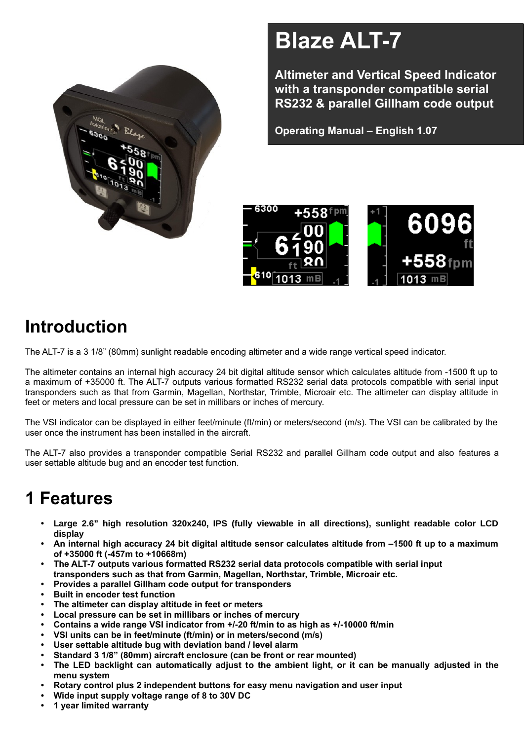

# **Blaze ALT-7**

**Altimeter and Vertical Speed Indicator with a transponder compatible serial RS232 & parallel Gillham code output**

**Operating Manual – English 1.07**



# **Introduction**

The ALT-7 is a 3 1/8" (80mm) sunlight readable encoding altimeter and a wide range vertical speed indicator.

The altimeter contains an internal high accuracy 24 bit digital altitude sensor which calculates altitude from -1500 ft up to a maximum of +35000 ft. The ALT-7 outputs various formatted RS232 serial data protocols compatible with serial input transponders such as that from Garmin, Magellan, Northstar, Trimble, Microair etc. The altimeter can display altitude in feet or meters and local pressure can be set in millibars or inches of mercury.

The VSI indicator can be displayed in either feet/minute (ft/min) or meters/second (m/s). The VSI can be calibrated by the user once the instrument has been installed in the aircraft.

The ALT-7 also provides a transponder compatible Serial RS232 and parallel Gillham code output and also features a user settable altitude bug and an encoder test function.

# **1 Features**

- **• Large 2.6" high resolution 320x240, IPS (fully viewable in all directions), sunlight readable color LCD display**
- **• An internal high accuracy 24 bit digital altitude sensor calculates altitude from –1500 ft up to a maximum of +35000 ft (-457m to +10668m)**
- **• The ALT-7 outputs various formatted RS232 serial data protocols compatible with serial input transponders such as that from Garmin, Magellan, Northstar, Trimble, Microair etc.**
- **• Provides a parallel Gillham code output for transponders**
- **• Built in encoder test function**
- **• The altimeter can display altitude in feet or meters**
- **• Local pressure can be set in millibars or inches of mercury**
- **• Contains a wide range VSI indicator from +/-20 ft/min to as high as +/-10000 ft/min**
- **• VSI units can be in feet/minute (ft/min) or in meters/second (m/s)**
- **• User settable altitude bug with deviation band / level alarm**
- **• Standard 3 1/8" (80mm) aircraft enclosure (can be front or rear mounted)**
- **• The LED backlight can automatically adjust to the ambient light, or it can be manually adjusted in the menu system**
- **• Rotary control plus 2 independent buttons for easy menu navigation and user input**
- **• Wide input supply voltage range of 8 to 30V DC**
- **• 1 year limited warranty**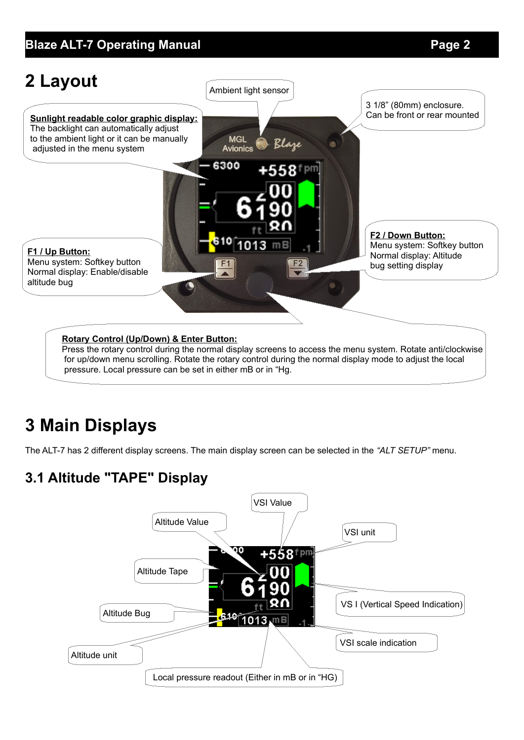## **Blaze ALT-7 Operating Manual** *Page 2*



pressure. Local pressure can be set in either mB or in "Hg.

# **3 Main Displays**

The ALT-7 has 2 different display screens. The main display screen can be selected in the *"ALT SETUP"* menu.

## **3.1 Altitude "TAPE" Display**

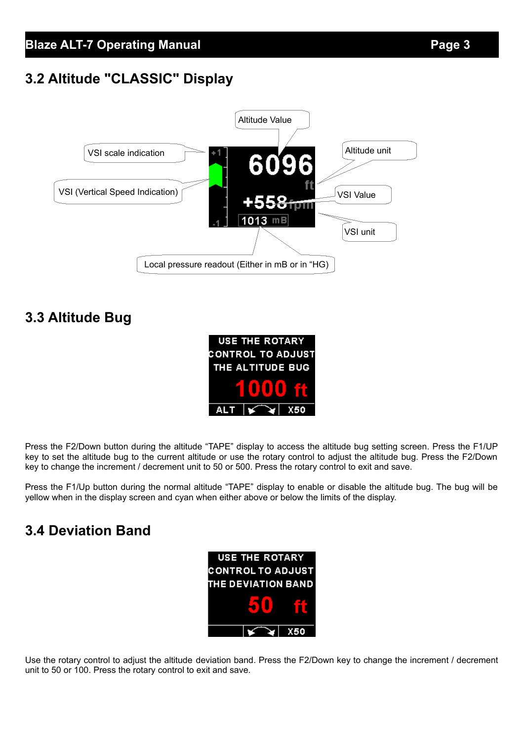## **3.2 Altitude "CLASSIC" Display**



## **3.3 Altitude Bug**



Press the F2/Down button during the altitude "TAPE" display to access the altitude bug setting screen. Press the F1/UP key to set the altitude bug to the current altitude or use the rotary control to adjust the altitude bug. Press the F2/Down key to change the increment / decrement unit to 50 or 500. Press the rotary control to exit and save.

Press the F1/Up button during the normal altitude "TAPE" display to enable or disable the altitude bug. The bug will be yellow when in the display screen and cyan when either above or below the limits of the display.

## **3.4 Deviation Band**



Use the rotary control to adjust the altitude deviation band. Press the F2/Down key to change the increment / decrement unit to 50 or 100. Press the rotary control to exit and save.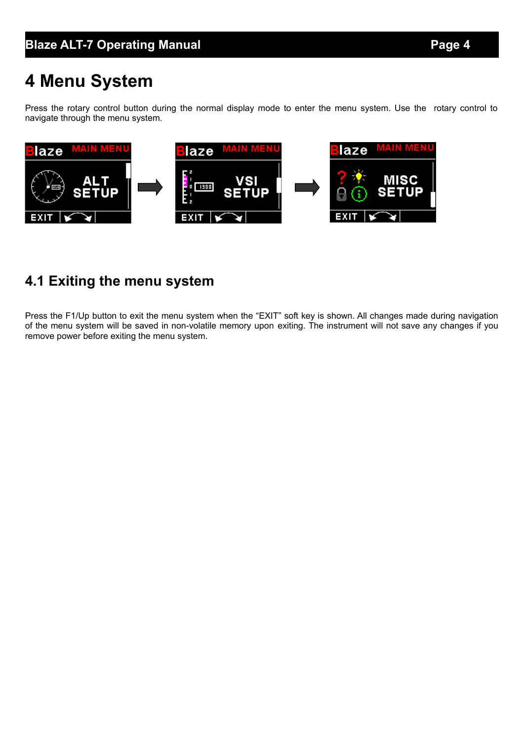# **4 Menu System**

Press the rotary control button during the normal display mode to enter the menu system. Use the rotary control to navigate through the menu system.



## **4.1 Exiting the menu system**

Press the F1/Up button to exit the menu system when the "EXIT" soft key is shown. All changes made during navigation of the menu system will be saved in non-volatile memory upon exiting. The instrument will not save any changes if you remove power before exiting the menu system.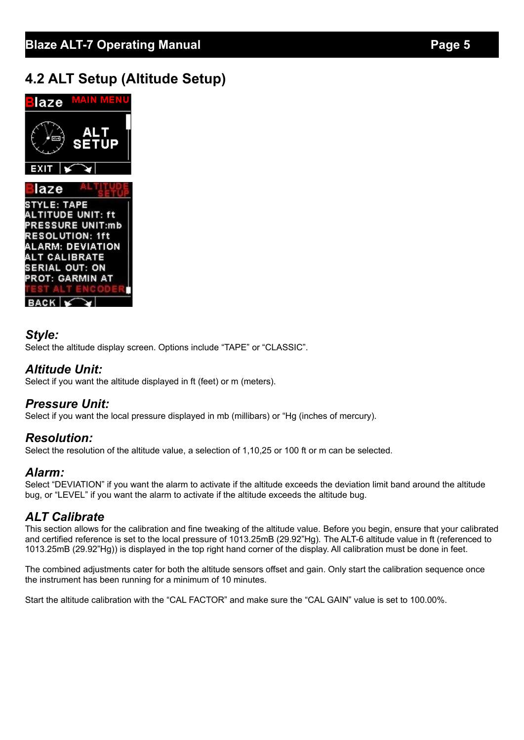## **4.2 ALT Setup (Altitude Setup)**



## *Style:*

Select the altitude display screen. Options include "TAPE" or "CLASSIC".

#### *Altitude Unit:*

Select if you want the altitude displayed in ft (feet) or m (meters).

## *Pressure Unit:*

Select if you want the local pressure displayed in mb (millibars) or "Hg (inches of mercury).

## *Resolution:*

Select the resolution of the altitude value, a selection of 1,10,25 or 100 ft or m can be selected.

## *Alarm:*

Select "DEVIATION" if you want the alarm to activate if the altitude exceeds the deviation limit band around the altitude bug, or "LEVEL" if you want the alarm to activate if the altitude exceeds the altitude bug.

## *ALT Calibrate*

This section allows for the calibration and fine tweaking of the altitude value. Before you begin, ensure that your calibrated and certified reference is set to the local pressure of 1013.25mB (29.92"Hg). The ALT-6 altitude value in ft (referenced to 1013.25mB (29.92"Hg)) is displayed in the top right hand corner of the display. All calibration must be done in feet.

The combined adjustments cater for both the altitude sensors offset and gain. Only start the calibration sequence once the instrument has been running for a minimum of 10 minutes.

Start the altitude calibration with the "CAL FACTOR" and make sure the "CAL GAIN" value is set to 100.00%.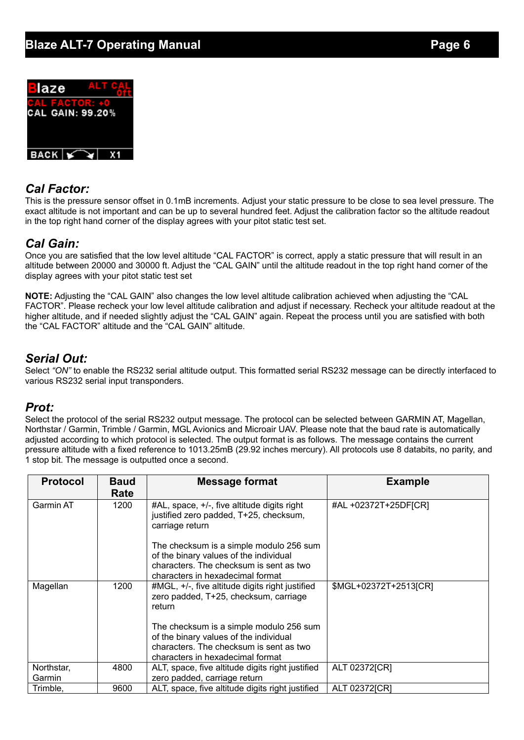## **Blaze ALT-7 Operating Manual** *Page 6*



## *Cal Factor:*

This is the pressure sensor offset in 0.1mB increments. Adjust your static pressure to be close to sea level pressure. The exact altitude is not important and can be up to several hundred feet. Adjust the calibration factor so the altitude readout in the top right hand corner of the display agrees with your pitot static test set.

## *Cal Gain:*

Once you are satisfied that the low level altitude "CAL FACTOR" is correct, apply a static pressure that will result in an altitude between 20000 and 30000 ft. Adjust the "CAL GAIN" until the altitude readout in the top right hand corner of the display agrees with your pitot static test set

**NOTE:** Adjusting the "CAL GAIN" also changes the low level altitude calibration achieved when adjusting the "CAL FACTOR". Please recheck your low level altitude calibration and adjust if necessary. Recheck your altitude readout at the higher altitude, and if needed slightly adjust the "CAL GAIN" again. Repeat the process until you are satisfied with both the "CAL FACTOR" altitude and the "CAL GAIN" altitude.

#### *Serial Out:*

Select *"ON"* to enable the RS232 serial altitude output. This formatted serial RS232 message can be directly interfaced to various RS232 serial input transponders.

#### *Prot:*

Select the protocol of the serial RS232 output message. The protocol can be selected between GARMIN AT, Magellan, Northstar / Garmin, Trimble / Garmin, MGL Avionics and Microair UAV. Please note that the baud rate is automatically adjusted according to which protocol is selected. The output format is as follows. The message contains the current pressure altitude with a fixed reference to 1013.25mB (29.92 inches mercury). All protocols use 8 databits, no parity, and 1 stop bit. The message is outputted once a second.

| <b>Protocol</b>  | <b>Baud</b> | <b>Message format</b>                                                                                    | <b>Example</b>        |
|------------------|-------------|----------------------------------------------------------------------------------------------------------|-----------------------|
|                  | Rate        |                                                                                                          |                       |
| <b>Garmin AT</b> | 1200        | #AL, space, +/-, five altitude digits right<br>justified zero padded, T+25, checksum,<br>carriage return | #AL +02372T+25DF[CR]  |
|                  |             | The checksum is a simple modulo 256 sum                                                                  |                       |
|                  |             | of the binary values of the individual                                                                   |                       |
|                  |             | characters. The checksum is sent as two                                                                  |                       |
|                  |             | characters in hexadecimal format                                                                         |                       |
| Magellan         | 1200        | #MGL, +/-, five altitude digits right justified<br>zero padded, T+25, checksum, carriage<br>return       | \$MGL+02372T+2513[CR] |
|                  |             | The checksum is a simple modulo 256 sum                                                                  |                       |
|                  |             | of the binary values of the individual                                                                   |                       |
|                  |             | characters. The checksum is sent as two                                                                  |                       |
|                  |             | characters in hexadecimal format                                                                         |                       |
| Northstar,       | 4800        | ALT, space, five altitude digits right justified                                                         | ALT 02372[CR]         |
| Garmin           |             | zero padded, carriage return                                                                             |                       |
| Trimble,         | 9600        | ALT, space, five altitude digits right justified                                                         | ALT 02372[CR]         |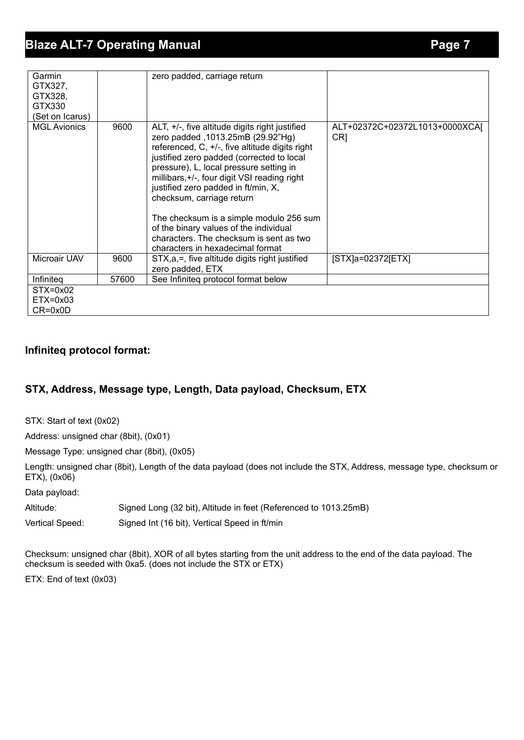| Garmin<br>GTX327,<br>GTX328,<br>GTX330<br>(Set on Icarus) |       | zero padded, carriage return                                                                                                                                                                                                                                                                                                                                                                                                                                                                                          |                                                   |
|-----------------------------------------------------------|-------|-----------------------------------------------------------------------------------------------------------------------------------------------------------------------------------------------------------------------------------------------------------------------------------------------------------------------------------------------------------------------------------------------------------------------------------------------------------------------------------------------------------------------|---------------------------------------------------|
| <b>MGL Avionics</b>                                       | 9600  | ALT, +/-, five altitude digits right justified<br>zero padded, 1013.25mB (29.92"Hg)<br>referenced, C, +/-, five altitude digits right<br>justified zero padded (corrected to local<br>pressure), L, local pressure setting in<br>millibars, +/-, four digit VSI reading right<br>justified zero padded in ft/min, X,<br>checksum, carriage return<br>The checksum is a simple modulo 256 sum<br>of the binary values of the individual<br>characters. The checksum is sent as two<br>characters in hexadecimal format | ALT+02372C+02372L1013+0000XCAJ<br>CR <sub>1</sub> |
| Microair UAV                                              | 9600  | STX, a, =, five altitude digits right justified<br>zero padded, ETX                                                                                                                                                                                                                                                                                                                                                                                                                                                   | $[STX]a=02372[ETX]$                               |
| Infiniteg                                                 | 57600 | See Infiniteg protocol format below                                                                                                                                                                                                                                                                                                                                                                                                                                                                                   |                                                   |
| $STX=0x02$<br>$ETX=0x03$<br>$CR = 0x0D$                   |       |                                                                                                                                                                                                                                                                                                                                                                                                                                                                                                                       |                                                   |

#### **Infiniteq protocol format:**

## **STX, Address, Message type, Length, Data payload, Checksum, ETX**

STX: Start of text (0x02)

Address: unsigned char (8bit), (0x01)

Message Type: unsigned char (8bit), (0x05)

Length: unsigned char (8bit), Length of the data payload (does not include the STX, Address, message type, checksum or ETX), (0x06)

Data payload:

Altitude: Signed Long (32 bit), Altitude in feet (Referenced to 1013.25mB)

Vertical Speed: Signed Int (16 bit), Vertical Speed in ft/min

Checksum: unsigned char (8bit), XOR of all bytes starting from the unit address to the end of the data payload. The checksum is seeded with 0xa5. (does not include the STX or ETX)

ETX: End of text (0x03)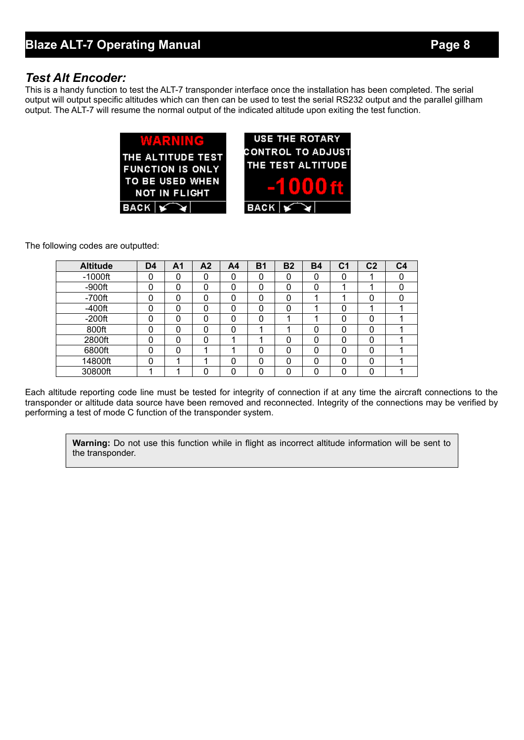#### *Test Alt Encoder:*

This is a handy function to test the ALT-7 transponder interface once the installation has been completed. The serial output will output specific altitudes which can then can be used to test the serial RS232 output and the parallel gillham output. The ALT-7 will resume the normal output of the indicated altitude upon exiting the test function.



The following codes are outputted:

| <b>Altitude</b> | D <sub>4</sub> | A1 | A <sub>2</sub> | A <sub>4</sub> | <b>B1</b> | <b>B2</b> | <b>B4</b> | C <sub>1</sub> | C <sub>2</sub> | C <sub>4</sub> |
|-----------------|----------------|----|----------------|----------------|-----------|-----------|-----------|----------------|----------------|----------------|
| $-1000$ ft      |                |    | 0              | 0              | 0         | 0         | 0         |                |                |                |
| $-900$ ft       |                | ∩  | 0              | 0              | 0         | 0         | 0         |                |                |                |
| $-700$ ft       |                | 0  | 0              | 0              | 0         | 0         |           |                |                |                |
| $-400$ ft       |                | 0  | 0              | 0              | 0         |           |           |                |                |                |
| $-200$ ft       |                | n  | 0              | 0              | 0         |           |           | ი              |                |                |
| 800ft           |                | 0  | 0              | 0              |           |           | 0         | 0              |                |                |
| 2800ft          |                | U  | 0              |                |           | ი         | 0         |                |                |                |
| 6800ft          |                | n  | и              |                | 0         | 0         | 0         | ი              |                |                |
| 14800ft         | 0              |    | ◢              | 0              | 0         | 0         | 0         | 0              |                |                |
| 30800ft         |                |    | ი              | n              | 0         |           | ი         |                |                |                |

Each altitude reporting code line must be tested for integrity of connection if at any time the aircraft connections to the transponder or altitude data source have been removed and reconnected. Integrity of the connections may be verified by performing a test of mode C function of the transponder system.

**Warning:** Do not use this function while in flight as incorrect altitude information will be sent to the transponder.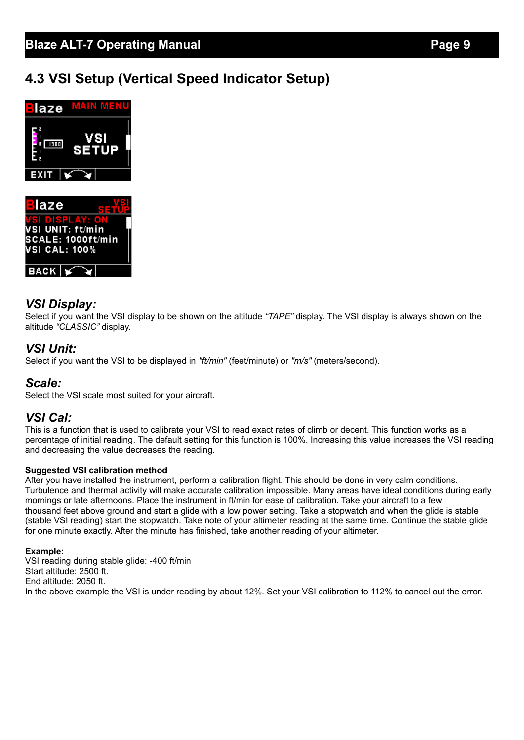## **4.3 VSI Setup (Vertical Speed Indicator Setup)**





## *VSI Display:*

Select if you want the VSI display to be shown on the altitude *"TAPE"* display. The VSI display is always shown on the altitude *"CLASSIC"* display.

## *VSI Unit:*

Select if you want the VSI to be displayed in *"ft/min"* (feet/minute) or *"m/s"* (meters/second).

#### *Scale:*

Select the VSI scale most suited for your aircraft.

## *VSI Cal:*

This is a function that is used to calibrate your VSI to read exact rates of climb or decent. This function works as a percentage of initial reading. The default setting for this function is 100%. Increasing this value increases the VSI reading and decreasing the value decreases the reading.

#### **Suggested VSI calibration method**

After you have installed the instrument, perform a calibration flight. This should be done in very calm conditions. Turbulence and thermal activity will make accurate calibration impossible. Many areas have ideal conditions during early mornings or late afternoons. Place the instrument in ft/min for ease of calibration. Take your aircraft to a few thousand feet above ground and start a glide with a low power setting. Take a stopwatch and when the glide is stable (stable VSI reading) start the stopwatch. Take note of your altimeter reading at the same time. Continue the stable glide for one minute exactly. After the minute has finished, take another reading of your altimeter.

#### **Example:**

VSI reading during stable glide: -400 ft/min Start altitude: 2500 ft. End altitude: 2050 ft. In the above example the VSI is under reading by about 12%. Set your VSI calibration to 112% to cancel out the error.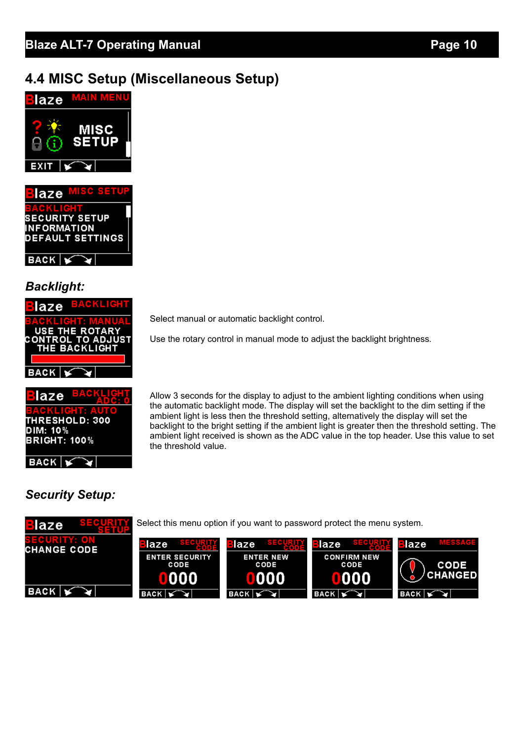## **4.4 MISC Setup (Miscellaneous Setup)**



**SECURITY SETUP INFORMATION DEFAULT SETTINGS**  $BACK \, | \leq$ 

## *Backlight:*

| laze        | <b>EACKLIC</b>                        |
|-------------|---------------------------------------|
|             | GKLICHT: MAN<br><b>USE THE ROTARY</b> |
|             | CONTROL TO ADJUST<br>THE BACKLIGHT    |
|             |                                       |
| <b>BACK</b> |                                       |



e.

Select manual or automatic backlight control.

Use the rotary control in manual mode to adjust the backlight brightness.

Allow 3 seconds for the display to adjust to the ambient lighting conditions when using the automatic backlight mode. The display will set the backlight to the dim setting if the ambient light is less then the threshold setting, alternatively the display will set the backlight to the bright setting if the ambient light is greater then the threshold setting. The ambient light received is shown as the ADC value in the top header. Use this value to set the threshold value.

## *Security Setup:*

 $BACK$ 

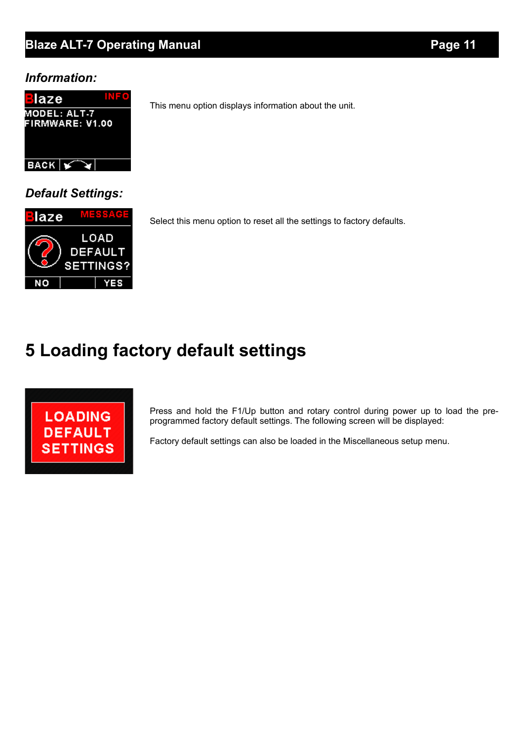## **Blaze ALT-7 Operating Manual** *Page 11*

#### *Information:*



*Default Settings:*



Select this menu option to reset all the settings to factory defaults.

This menu option displays information about the unit.

# **5 Loading factory default settings**



Press and hold the F1/Up button and rotary control during power up to load the preprogrammed factory default settings. The following screen will be displayed:

Factory default settings can also be loaded in the Miscellaneous setup menu.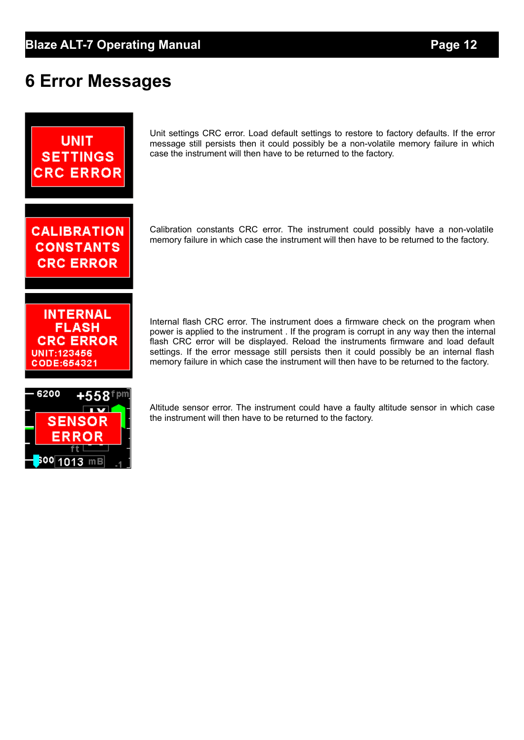# **6 Error Messages**



<sup>600∣</sup>1013 mB

Unit settings CRC error. Load default settings to restore to factory defaults. If the error message still persists then it could possibly be a non-volatile memory failure in which case the instrument will then have to be returned to the factory.

Calibration constants CRC error. The instrument could possibly have a non-volatile memory failure in which case the instrument will then have to be returned to the factory.

Internal flash CRC error. The instrument does a firmware check on the program when power is applied to the instrument . If the program is corrupt in any way then the internal flash CRC error will be displayed. Reload the instruments firmware and load default settings. If the error message still persists then it could possibly be an internal flash memory failure in which case the instrument will then have to be returned to the factory.

Altitude sensor error. The instrument could have a faulty altitude sensor in which case the instrument will then have to be returned to the factory.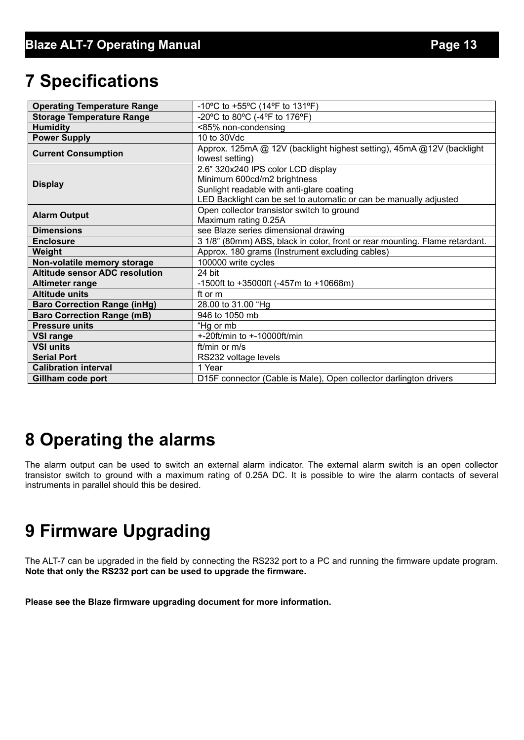# **7 Specifications**

| <b>Operating Temperature Range</b>    | -10°C to +55°C (14°F to 131°F)                                                                                                                                                      |  |  |  |  |
|---------------------------------------|-------------------------------------------------------------------------------------------------------------------------------------------------------------------------------------|--|--|--|--|
| <b>Storage Temperature Range</b>      | -20°C to 80°C (-4°F to 176°F)                                                                                                                                                       |  |  |  |  |
| <b>Humidity</b>                       | <85% non-condensing                                                                                                                                                                 |  |  |  |  |
| <b>Power Supply</b>                   | 10 to 30Vdc                                                                                                                                                                         |  |  |  |  |
| <b>Current Consumption</b>            | Approx. 125mA @ 12V (backlight highest setting), 45mA @12V (backlight<br>lowest setting)                                                                                            |  |  |  |  |
| <b>Display</b>                        | 2.6" 320x240 IPS color LCD display<br>Minimum 600cd/m2 brightness<br>Sunlight readable with anti-glare coating<br>LED Backlight can be set to automatic or can be manually adjusted |  |  |  |  |
| <b>Alarm Output</b>                   | Open collector transistor switch to ground<br>Maximum rating 0.25A                                                                                                                  |  |  |  |  |
| <b>Dimensions</b>                     | see Blaze series dimensional drawing                                                                                                                                                |  |  |  |  |
| <b>Enclosure</b>                      | 3 1/8" (80mm) ABS, black in color, front or rear mounting. Flame retardant.                                                                                                         |  |  |  |  |
| Weight                                | Approx. 180 grams (Instrument excluding cables)                                                                                                                                     |  |  |  |  |
| Non-volatile memory storage           | 100000 write cycles                                                                                                                                                                 |  |  |  |  |
| <b>Altitude sensor ADC resolution</b> | 24 bit                                                                                                                                                                              |  |  |  |  |
| Altimeter range                       | -1500ft to +35000ft (-457m to +10668m)                                                                                                                                              |  |  |  |  |
| <b>Altitude units</b>                 | ft or m                                                                                                                                                                             |  |  |  |  |
| <b>Baro Correction Range (inHg)</b>   | 28.00 to 31.00 "Hg                                                                                                                                                                  |  |  |  |  |
| <b>Baro Correction Range (mB)</b>     | 946 to 1050 mb                                                                                                                                                                      |  |  |  |  |
| <b>Pressure units</b>                 | "Hg or mb                                                                                                                                                                           |  |  |  |  |
| <b>VSI range</b>                      | +-20ft/min to +-10000ft/min                                                                                                                                                         |  |  |  |  |
| <b>VSI units</b>                      | ft/min or m/s                                                                                                                                                                       |  |  |  |  |
| <b>Serial Port</b>                    | RS232 voltage levels                                                                                                                                                                |  |  |  |  |
| <b>Calibration interval</b>           | 1 Year                                                                                                                                                                              |  |  |  |  |
| Gillham code port                     | D15F connector (Cable is Male), Open collector darlington drivers                                                                                                                   |  |  |  |  |

# **8 Operating the alarms**

The alarm output can be used to switch an external alarm indicator. The external alarm switch is an open collector transistor switch to ground with a maximum rating of 0.25A DC. It is possible to wire the alarm contacts of several instruments in parallel should this be desired.

# **9 Firmware Upgrading**

The ALT-7 can be upgraded in the field by connecting the RS232 port to a PC and running the firmware update program. **Note that only the RS232 port can be used to upgrade the firmware.**

**Please see the Blaze firmware upgrading document for more information.**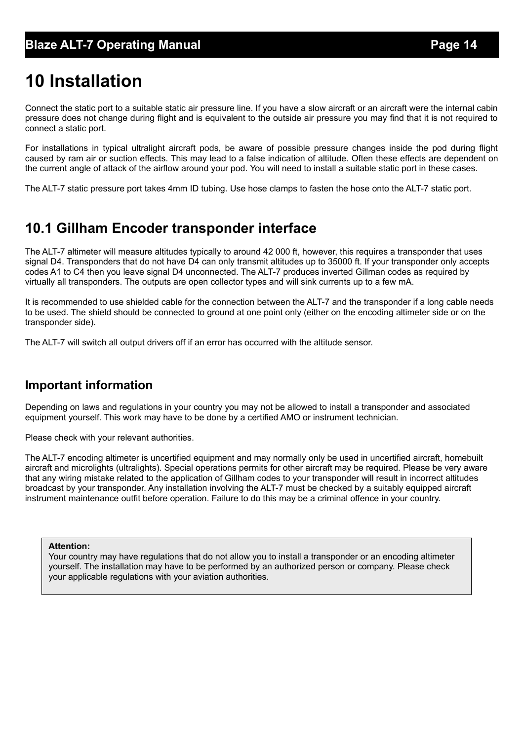# **10 Installation**

Connect the static port to a suitable static air pressure line. If you have a slow aircraft or an aircraft were the internal cabin pressure does not change during flight and is equivalent to the outside air pressure you may find that it is not required to connect a static port.

For installations in typical ultralight aircraft pods, be aware of possible pressure changes inside the pod during flight caused by ram air or suction effects. This may lead to a false indication of altitude. Often these effects are dependent on the current angle of attack of the airflow around your pod. You will need to install a suitable static port in these cases.

The ALT-7 static pressure port takes 4mm ID tubing. Use hose clamps to fasten the hose onto the ALT-7 static port.

## **10.1 Gillham Encoder transponder interface**

The ALT-7 altimeter will measure altitudes typically to around 42 000 ft, however, this requires a transponder that uses signal D4. Transponders that do not have D4 can only transmit altitudes up to 35000 ft. If your transponder only accepts codes A1 to C4 then you leave signal D4 unconnected. The ALT-7 produces inverted Gillman codes as required by virtually all transponders. The outputs are open collector types and will sink currents up to a few mA.

It is recommended to use shielded cable for the connection between the ALT-7 and the transponder if a long cable needs to be used. The shield should be connected to ground at one point only (either on the encoding altimeter side or on the transponder side).

The ALT-7 will switch all output drivers off if an error has occurred with the altitude sensor.

## **Important information**

Depending on laws and regulations in your country you may not be allowed to install a transponder and associated equipment yourself. This work may have to be done by a certified AMO or instrument technician.

Please check with your relevant authorities.

The ALT-7 encoding altimeter is uncertified equipment and may normally only be used in uncertified aircraft, homebuilt aircraft and microlights (ultralights). Special operations permits for other aircraft may be required. Please be very aware that any wiring mistake related to the application of Gillham codes to your transponder will result in incorrect altitudes broadcast by your transponder. Any installation involving the ALT-7 must be checked by a suitably equipped aircraft instrument maintenance outfit before operation. Failure to do this may be a criminal offence in your country.

#### **Attention:**

Your country may have regulations that do not allow you to install a transponder or an encoding altimeter yourself. The installation may have to be performed by an authorized person or company. Please check your applicable regulations with your aviation authorities.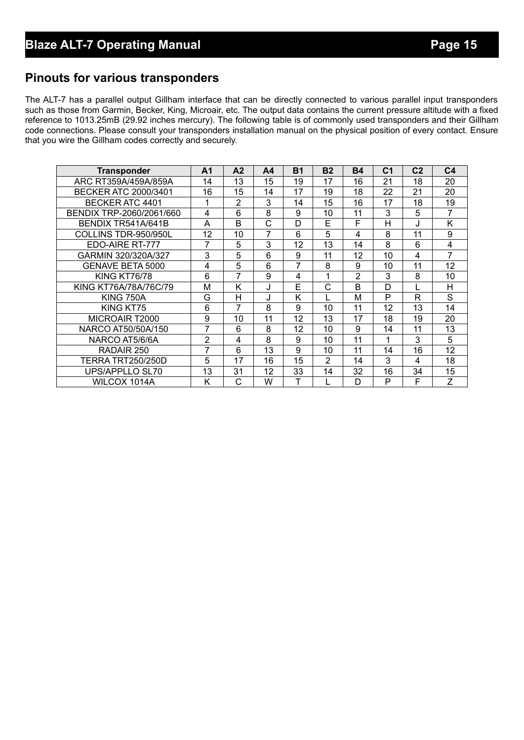## **Pinouts for various transponders**

The ALT-7 has a parallel output Gillham interface that can be directly connected to various parallel input transponders such as those from Garmin, Becker, King, Microair, etc. The output data contains the current pressure altitude with a fixed reference to 1013.25mB (29.92 inches mercury). The following table is of commonly used transponders and their Gillham code connections. Please consult your transponders installation manual on the physical position of every contact. Ensure that you wire the Gillham codes correctly and securely.

| <b>Transponder</b>          | A <sub>1</sub> | A <sub>2</sub> | A <sub>4</sub> | <b>B1</b> | <b>B2</b>      | <b>B4</b> | C <sub>1</sub> | C <sub>2</sub> | C <sub>4</sub> |
|-----------------------------|----------------|----------------|----------------|-----------|----------------|-----------|----------------|----------------|----------------|
| ARC RT359A/459A/859A        | 14             | 13             | 15             | 19        | 17             | 16        | 21             | 18             | 20             |
| <b>BECKER ATC 2000/3401</b> | 16             | 15             | 14             | 17        | 19             | 18        | 22             | 21             | 20             |
| BECKER ATC 4401             | 1              | $\overline{2}$ | 3              | 14        | 15             | 16        | 17             | 18             | 19             |
| BENDIX TRP-2060/2061/660    | 4              | 6              | 8              | 9         | 10             | 11        | 3              | 5              | 7              |
| BENDIX TR541A/641B          | A              | B              | С              | D         | E              | F         | Н              | J              | K              |
| COLLINS TDR-950/950L        | 12             | 10             | 7              | 6         | 5              | 4         | 8              | 11             | 9              |
| EDO-AIRE RT-777             | 7              | 5              | 3              | 12        | 13             | 14        | 8              | 6              | 4              |
| GARMIN 320/320A/327         | 3              | 5              | 6              | 9         | 11             | 12        | 10             | 4              | 7              |
| <b>GENAVE BETA 5000</b>     | 4              | 5              | 6              | 7         | 8              | 9         | 10             | 11             | 12             |
| <b>KING KT76/78</b>         | 6              | 7              | 9              | 4         | 1              | 2         | 3              | 8              | 10             |
| KING KT76A/78A/76C/79       | м              | ĸ              | J              | E         | C              | B         | D              |                | H              |
| <b>KING 750A</b>            | G              | н              | J              | K         |                | М         | P              | R              | S              |
| KING KT75                   | 6              | 7              | 8              | 9         | 10             | 11        | 12             | 13             | 14             |
| MICROAIR T2000              | 9              | 10             | 11             | 12        | 13             | 17        | 18             | 19             | 20             |
| NARCO AT50/50A/150          | 7              | 6              | 8              | 12        | 10             | 9         | 14             | 11             | 13             |
| NARCO AT5/6/6A              | $\overline{2}$ | 4              | 8              | 9         | 10             | 11        | 1              | 3              | 5              |
| RADAIR 250                  | 7              | 6              | 13             | 9         | 10             | 11        | 14             | 16             | 12             |
| <b>TERRA TRT250/250D</b>    | 5              | 17             | 16             | 15        | $\overline{2}$ | 14        | 3              | 4              | 18             |
| UPS/APPLLO SL70             | 13             | 31             | 12             | 33        | 14             | 32        | 16             | 34             | 15             |
| WILCOX 1014A                | Κ              | С              | W              | т         |                | D         | P              | F              | Z              |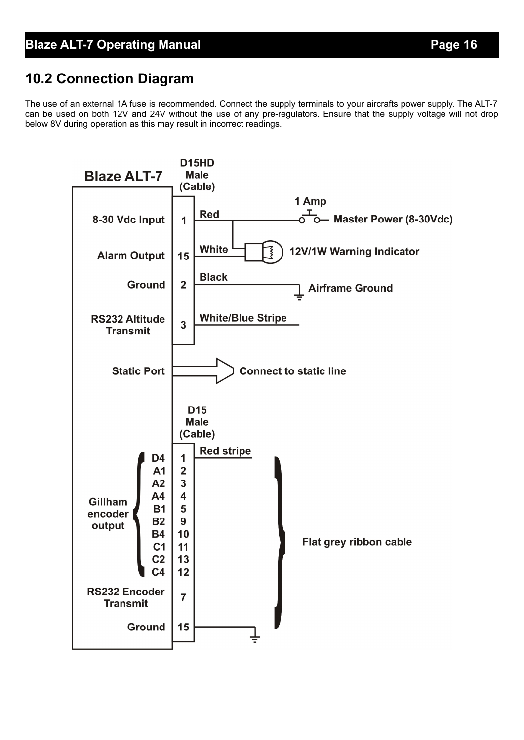## **10.2 Connection Diagram**

The use of an external 1A fuse is recommended. Connect the supply terminals to your aircrafts power supply. The ALT-7 can be used on both 12V and 24V without the use of any pre-regulators. Ensure that the supply voltage will not drop below 8V during operation as this may result in incorrect readings.

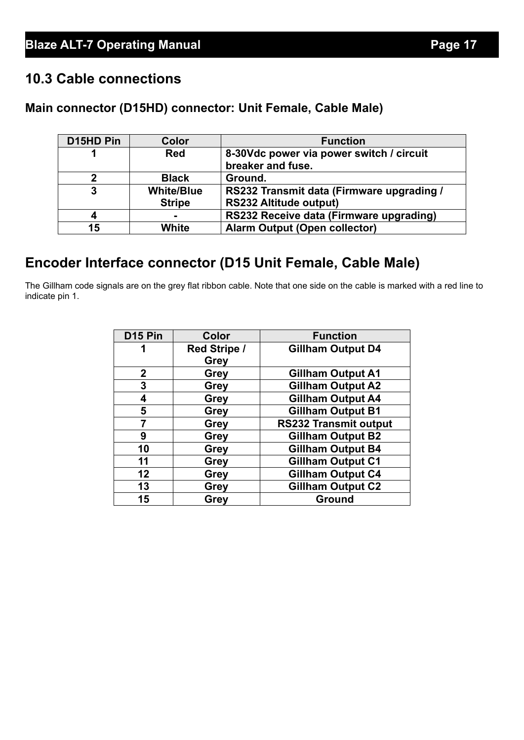## **10.3 Cable connections**

## **Main connector (D15HD) connector: Unit Female, Cable Male)**

| D15HD Pin | Color             | <b>Function</b>                           |
|-----------|-------------------|-------------------------------------------|
| 1         | <b>Red</b>        | 8-30Vdc power via power switch / circuit  |
|           |                   | breaker and fuse.                         |
| 2         | <b>Black</b>      | Ground.                                   |
| 3         | <b>White/Blue</b> | RS232 Transmit data (Firmware upgrading / |
|           | <b>Stripe</b>     | <b>RS232 Altitude output)</b>             |
| 4         |                   | RS232 Receive data (Firmware upgrading)   |
| 15        | White             | <b>Alarm Output (Open collector)</b>      |

## **Encoder Interface connector (D15 Unit Female, Cable Male)**

The Gillham code signals are on the grey flat ribbon cable. Note that one side on the cable is marked with a red line to indicate pin 1.

| D <sub>15</sub> Pin | Color               | <b>Function</b>              |
|---------------------|---------------------|------------------------------|
| 1                   | <b>Red Stripe /</b> | <b>Gillham Output D4</b>     |
|                     | <b>Grey</b>         |                              |
| $\mathbf 2$         | Grey                | <b>Gillham Output A1</b>     |
| 3                   | <b>Grey</b>         | <b>Gillham Output A2</b>     |
| 4                   | <b>Grey</b>         | <b>Gillham Output A4</b>     |
| 5                   | <b>Grey</b>         | <b>Gillham Output B1</b>     |
| 7                   | <b>Grey</b>         | <b>RS232 Transmit output</b> |
| 9                   | <b>Grey</b>         | <b>Gillham Output B2</b>     |
| 10                  | <b>Grey</b>         | <b>Gillham Output B4</b>     |
| 11                  | Grey                | <b>Gillham Output C1</b>     |
| 12                  | <b>Grey</b>         | <b>Gillham Output C4</b>     |
| 13                  | <b>Grey</b>         | <b>Gillham Output C2</b>     |
| 15                  | Grey                | <b>Ground</b>                |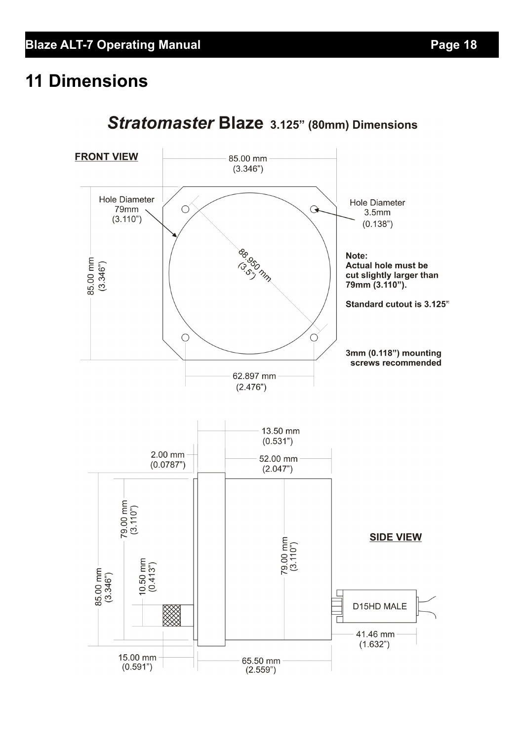# **11 Dimensions**



## Stratomaster Blaze 3.125" (80mm) Dimensions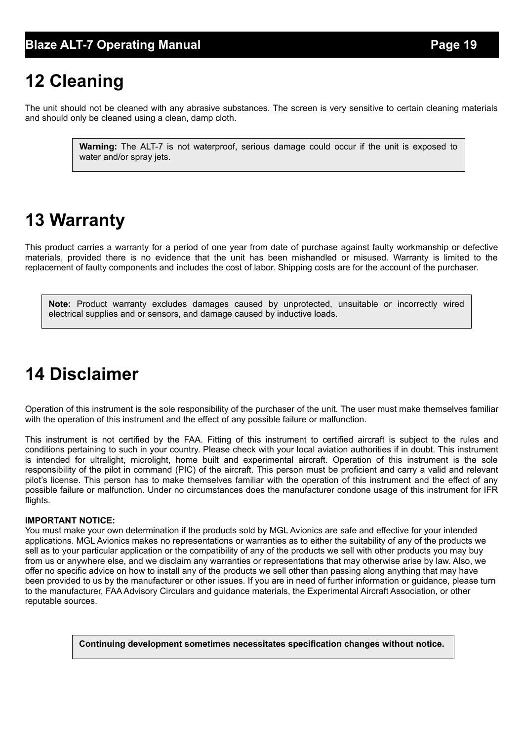# **12 Cleaning**

The unit should not be cleaned with any abrasive substances. The screen is very sensitive to certain cleaning materials and should only be cleaned using a clean, damp cloth.

> **Warning:** The ALT-7 is not waterproof, serious damage could occur if the unit is exposed to water and/or spray jets.

# **13 Warranty**

This product carries a warranty for a period of one year from date of purchase against faulty workmanship or defective materials, provided there is no evidence that the unit has been mishandled or misused. Warranty is limited to the replacement of faulty components and includes the cost of labor. Shipping costs are for the account of the purchaser.

**Note:** Product warranty excludes damages caused by unprotected, unsuitable or incorrectly wired electrical supplies and or sensors, and damage caused by inductive loads.

# **14 Disclaimer**

Operation of this instrument is the sole responsibility of the purchaser of the unit. The user must make themselves familiar with the operation of this instrument and the effect of any possible failure or malfunction.

This instrument is not certified by the FAA. Fitting of this instrument to certified aircraft is subject to the rules and conditions pertaining to such in your country. Please check with your local aviation authorities if in doubt. This instrument is intended for ultralight, microlight, home built and experimental aircraft. Operation of this instrument is the sole responsibility of the pilot in command (PIC) of the aircraft. This person must be proficient and carry a valid and relevant pilot's license. This person has to make themselves familiar with the operation of this instrument and the effect of any possible failure or malfunction. Under no circumstances does the manufacturer condone usage of this instrument for IFR flights.

#### **IMPORTANT NOTICE:**

You must make your own determination if the products sold by MGL Avionics are safe and effective for your intended applications. MGL Avionics makes no representations or warranties as to either the suitability of any of the products we sell as to your particular application or the compatibility of any of the products we sell with other products you may buy from us or anywhere else, and we disclaim any warranties or representations that may otherwise arise by law. Also, we offer no specific advice on how to install any of the products we sell other than passing along anything that may have been provided to us by the manufacturer or other issues. If you are in need of further information or guidance, please turn to the manufacturer, FAA Advisory Circulars and guidance materials, the Experimental Aircraft Association, or other reputable sources.

**Continuing development sometimes necessitates specification changes without notice.**